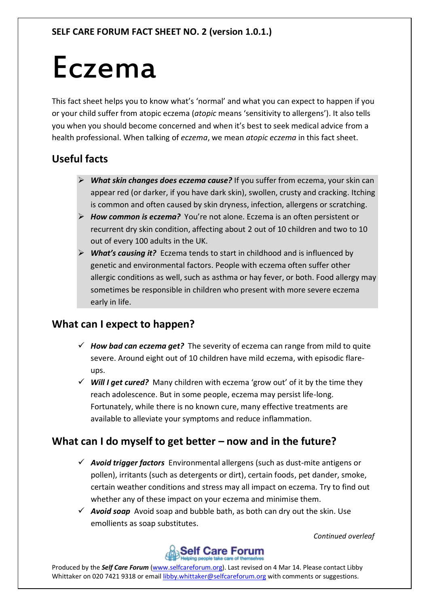# Eczema

This fact sheet helps you to know what's 'normal' and what you can expect to happen if you or your child suffer from atopic eczema (*atopic* means 'sensitivity to allergens'). It also tells you when you should become concerned and when it's best to seek medical advice from a health professional. When talking of *eczema*, we mean *atopic eczema* in this fact sheet.

## **Useful facts**

- *What skin changes does eczema cause?* If you suffer from eczema, your skin can appear red (or darker, if you have dark skin), swollen, crusty and cracking. Itching is common and often caused by skin dryness, infection, allergens or scratching.
- *How common is eczema?* You're not alone. Eczema is an often persistent or recurrent dry skin condition, affecting about 2 out of 10 children and two to 10 out of every 100 adults in the UK.
- *What's causing it?* Eczema tends to start in childhood and is influenced by genetic and environmental factors. People with eczema often suffer other allergic conditions as well, such as asthma or hay fever, or both. Food allergy may sometimes be responsible in children who present with more severe eczema early in life.

## **What can I expect to happen?**

- $\checkmark$  How bad can eczema get? The severity of eczema can range from mild to quite severe. Around eight out of 10 children have mild eczema, with episodic flareups.
- $\checkmark$  Will I get cured? Many children with eczema 'grow out' of it by the time they reach adolescence. But in some people, eczema may persist life-long. Fortunately, while there is no known cure, many effective treatments are available to alleviate your symptoms and reduce inflammation.

## **What can I do myself to get better – now and in the future?**

- *Avoid trigger factors* Environmental allergens (such as dust-mite antigens or pollen), irritants (such as detergents or dirt), certain foods, pet dander, smoke, certain weather conditions and stress may all impact on eczema. Try to find out whether any of these impact on your eczema and minimise them.
- $\checkmark$  **Avoid soap** Avoid soap and bubble bath, as both can dry out the skin. Use emollients as soap substitutes.

*Continued overleaf*



Produced by the *Self Care Forum* [\(www.selfcareforum.org\)](http://www.selfcareforum.org/). Last revised on 4 Mar 14. Please contact Libby Whittaker on 020 7421 9318 or emai[l libby.whittaker@selfcareforum.org](mailto:libby.whittaker@selfcareforum.org) with comments or suggestions.